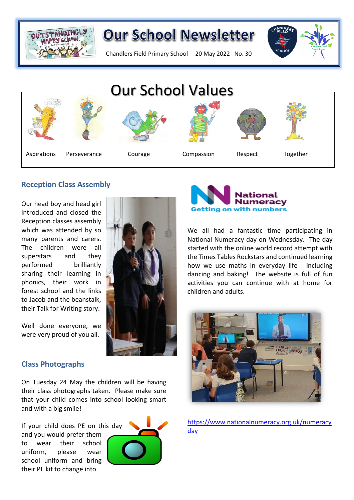

Chandlers Field Primary School 20 May 2022 No. 30





## **Reception Class Assembly**

Our head boy and head girl introduced and closed the Reception classes assembly which was attended by so many parents and carers. The children were all superstars and they performed brilliantly sharing their learning in phonics, their work in forest school and the links to Jacob and the beanstalk, their Talk for Writing story.

Well done everyone, we were very proud of you all.

## **Class Photographs**

On Tuesday 24 May the children will be having their class photographs taken. Please make sure that your child comes into school looking smart and with a big smile!

If your child does PE on this day and you would prefer them to wear their school uniform, please wear school uniform and bring their PE kit to change into.





hich was attended by so **the spectal and a fantastic time participating in** National Numeracy day on Wednesday. The day started with the online world record attempt with the Times Tables Rockstars and continued learning how we use maths in everyday life - including dancing and baking! The website is full of fun activities you can continue with at home for children and adults.



[https://www.nationalnumeracy.org.uk/numeracy](https://www.nationalnumeracy.org.uk/numeracyday) [day](https://www.nationalnumeracy.org.uk/numeracyday)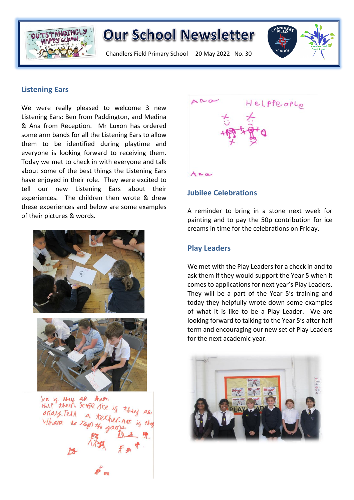

Chandlers Field Primary School 20 May 2022 No. 30



### **Listening Ears**

We were really pleased to welcome 3 new Listening Ears: Ben from Paddington, and Medina & Ana from Reception. Mr Luxon has ordered some arm bands for all the Listening Ears to allow them to be identified during playtime and everyone is looking forward to receiving them. Today we met to check in with everyone and talk about some of the best things the Listening Ears have enjoyed in their role. They were excited to tell our new Listening Ears about their experiences. The children then wrote & drew these experiences and below are some examples of their pictures & words.





Sce is they are then.<br>Half them. Serve ree is the skay. Tell a techer. Whant to Tayn the ga

 $APO$ Helppeoplo  $A B.$ 

## **Jubilee Celebrations**

A reminder to bring in a stone next week for painting and to pay the 50p contribution for ice creams in time for the celebrations on Friday.

## **Play Leaders**

We met with the Play Leaders for a check in and to ask them if they would support the Year 5 when it comes to applications for next year's Play Leaders. They will be a part of the Year 5's training and today they helpfully wrote down some examples of what it is like to be a Play Leader. We are looking forward to talking to the Year 5's after half term and encouraging our new set of Play Leaders for the next academic year.

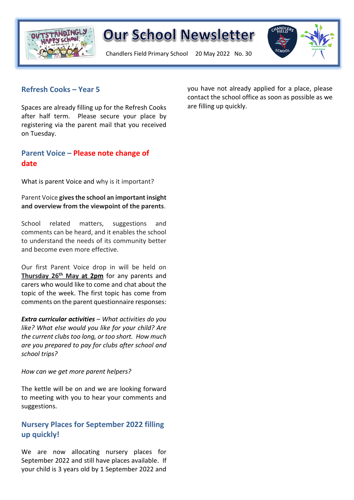

Chandlers Field Primary School 20 May 2022 No. 30



## **Refresh Cooks – Year 5**

Spaces are already filling up for the Refresh Cooks after half term. Please secure your place by registering via the parent mail that you received on Tuesday.

## **Parent Voice – Please note change of date**

What is parent Voice and why is it important?

Parent Voice **gives the school an important insight and overview from the viewpoint of the parents**.

School related matters, suggestions and comments can be heard, and it enables the school to understand the needs of its community better and become even more effective.

Our first Parent Voice drop in will be held on **Thursday 26th May at 2pm** for any parents and carers who would like to come and chat about the topic of the week. The first topic has come from comments on the parent questionnaire responses:

*Extra curricular activities – What activities do you like? What else would you like for your child? Are the current clubs too long, or too short. How much are you prepared to pay for clubs after school and school trips?*

#### *How can we get more parent helpers?*

The kettle will be on and we are looking forward to meeting with you to hear your comments and suggestions.

## **Nursery Places for September 2022 filling up quickly!**

We are now allocating nursery places for September 2022 and still have places available. If your child is 3 years old by 1 September 2022 and

you have not already applied for a place, please contact the school office as soon as possible as we are filling up quickly.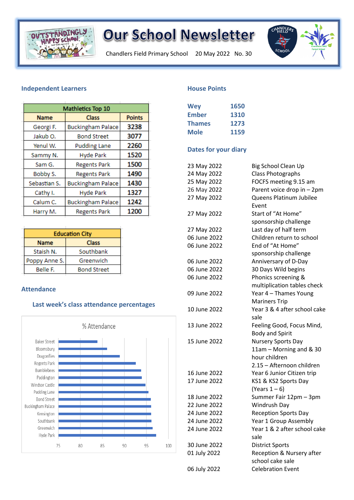

Chandlers Field Primary School 20 May 2022 No. 30



#### **Independent Learners**

| <b>Mathletics Top 10</b> |                          |               |
|--------------------------|--------------------------|---------------|
| <b>Name</b>              | <b>Class</b>             | <b>Points</b> |
| Georgi F.                | <b>Buckingham Palace</b> | 3238          |
| Jakub O.                 | <b>Bond Street</b>       | 3077          |
| Yenul W.                 | <b>Pudding Lane</b>      | 2260          |
| Sammy N.                 | <b>Hyde Park</b>         | 1520          |
| Sam G.                   | <b>Regents Park</b>      | 1500          |
| Bobby S.                 | <b>Regents Park</b>      | 1490          |
| Sebastian S.             | <b>Buckingham Palace</b> | 1430          |
| Cathy I.                 | <b>Hyde Park</b>         | 1327          |
| Calum C.                 | <b>Buckingham Palace</b> | 1242          |
| Harry M.                 | <b>Regents Park</b>      | 1200          |

| <b>Education City</b> |                    |  |
|-----------------------|--------------------|--|
| <b>Name</b>           | <b>Class</b>       |  |
| Staish N.             | Southbank          |  |
| Poppy Anne S.         | Greenwich          |  |
| Belle F.              | <b>Bond Street</b> |  |

#### **Attendance**

#### **Last week's class attendance percentages**



#### **House Points**

| <b>Wey</b>    | 1650 |
|---------------|------|
| Ember         | 1310 |
| <b>Thames</b> | 1273 |
| <b>Mole</b>   | 1159 |

#### **Dates for your diary**

| 23 May 2022  | Big School Clean Up          |  |
|--------------|------------------------------|--|
| 24 May 2022  | <b>Class Photographs</b>     |  |
| 25 May 2022  | FOCFS meeting 9.15 am        |  |
| 26 May 2022  | Parent voice drop in - 2pm   |  |
| 27 May 2022  | Queens Platinum Jubilee      |  |
|              | Event                        |  |
| 27 May 2022  | Start of "At Home"           |  |
|              | sponsorship challenge        |  |
| 27 May 2022  | Last day of half term        |  |
| 06 June 2022 | Children return to school    |  |
| 06 June 2022 | End of "At Home"             |  |
|              | sponsorship challenge        |  |
| 06 June 2022 | Anniversary of D-Day         |  |
| 06 June 2022 | 30 Days Wild begins          |  |
| 06 June 2022 | Phonics screening &          |  |
|              | multiplication tables check  |  |
| 09 June 2022 | Year 4 - Thames Young        |  |
|              | <b>Mariners Trip</b>         |  |
| 10 June 2022 | Year 3 & 4 after school cake |  |
|              | sale                         |  |
| 13 June 2022 | Feeling Good, Focus Mind,    |  |
|              | <b>Body and Spirit</b>       |  |
| 15 June 2022 | <b>Nursery Sports Day</b>    |  |
|              | 11am - Morning and & 30      |  |
|              | hour children                |  |
|              | 2.15 - Afternoon children    |  |
| 16 June 2022 | Year 6 Junior Citizen trip   |  |
| 17 June 2022 | KS1 & KS2 Sports Day         |  |
|              | (Years $1-6$ )               |  |
| 18 June 2022 | Summer Fair 12pm - 3pm       |  |
| 22 June 2022 | Windrush Day                 |  |
| 24 June 2022 | <b>Reception Sports Day</b>  |  |
| 24 June 2022 | Year 1 Group Assembly        |  |
| 24 June 2022 | Year 1 & 2 after school cake |  |
|              | sale                         |  |
| 30 June 2022 | <b>District Sports</b>       |  |
| 01 July 2022 | Reception & Nursery after    |  |
|              | school cake sale             |  |
| 06 July 2022 | <b>Celebration Event</b>     |  |
|              |                              |  |